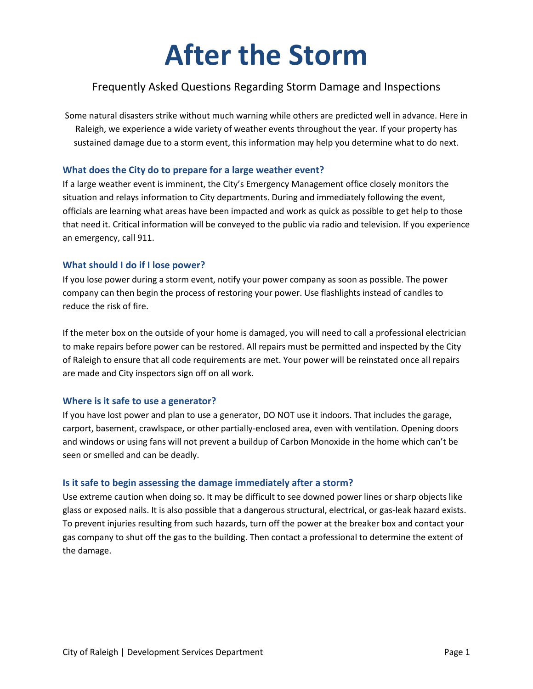# **After the Storm**

## Frequently Asked Questions Regarding Storm Damage and Inspections

Some natural disasters strike without much warning while others are predicted well in advance. Here in Raleigh, we experience a wide variety of weather events throughout the year. If your property has sustained damage due to a storm event, this information may help you determine what to do next.

#### **What does the City do to prepare for a large weather event?**

If a large weather event is imminent, the City's Emergency Management office closely monitors the situation and relays information to City departments. During and immediately following the event, officials are learning what areas have been impacted and work as quick as possible to get help to those that need it. Critical information will be conveyed to the public via radio and television. If you experience an emergency, call 911.

#### **What should I do if I lose power?**

If you lose power during a storm event, notify your power company as soon as possible. The power company can then begin the process of restoring your power. Use flashlights instead of candles to reduce the risk of fire.

If the meter box on the outside of your home is damaged, you will need to call a professional electrician to make repairs before power can be restored. All repairs must be permitted and inspected by the City of Raleigh to ensure that all code requirements are met. Your power will be reinstated once all repairs are made and City inspectors sign off on all work.

### **Where is it safe to use a generator?**

If you have lost power and plan to use a generator, DO NOT use it indoors. That includes the garage, carport, basement, crawlspace, or other partially-enclosed area, even with ventilation. Opening doors and windows or using fans will not prevent a buildup of Carbon Monoxide in the home which can't be seen or smelled and can be deadly.

#### **Is it safe to begin assessing the damage immediately after a storm?**

Use extreme caution when doing so. It may be difficult to see downed power lines or sharp objects like glass or exposed nails. It is also possible that a dangerous structural, electrical, or gas-leak hazard exists. To prevent injuries resulting from such hazards, turn off the power at the breaker box and contact your gas company to shut off the gas to the building. Then contact a professional to determine the extent of the damage.